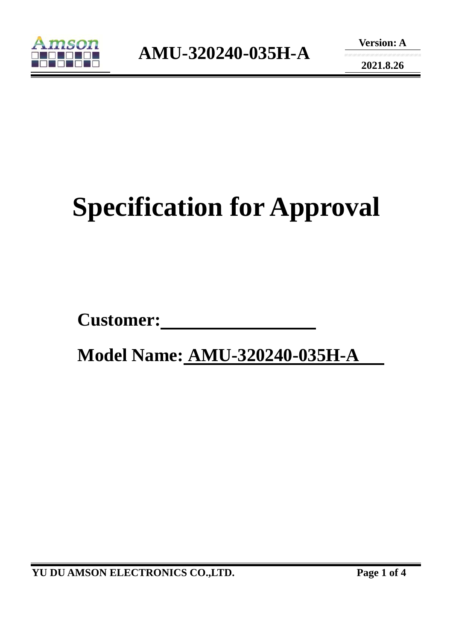

**2021.8.26** 

# **Specification for Approval**

Customer:

 **Model Name: AMU-320240-035H-A**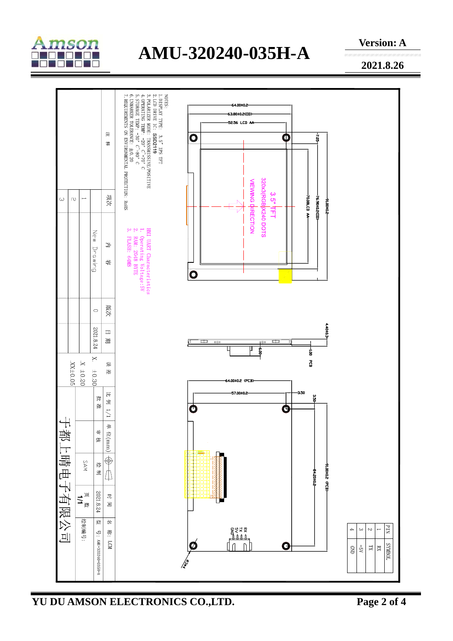

# **AMU-320240-035H-A**

**Version: A** 

**2021.8.26** 



**YU DU AMSON ELECTRONICS CO.,LTD. Page 2 of 4**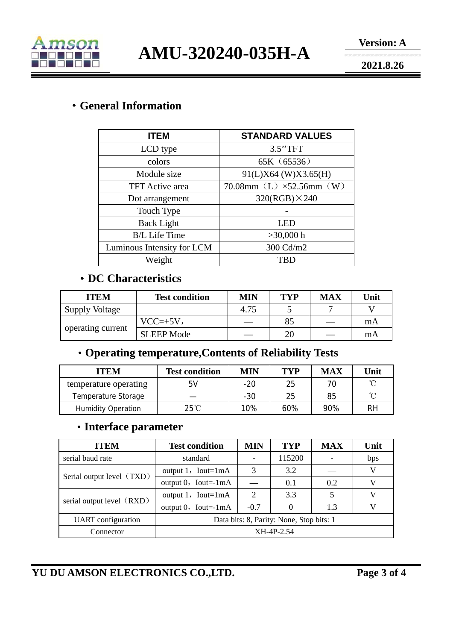

**AMU-320240-035H-A** 

**2021.8.26** 

# ·**General Information**

| <b>ITEM</b>                | <b>STANDARD VALUES</b>              |  |  |  |
|----------------------------|-------------------------------------|--|--|--|
| LCD type                   | 3.5"TFT                             |  |  |  |
| colors                     | 65K (65536)                         |  |  |  |
| Module size                | 91(L)X64 (W)X3.65(H)                |  |  |  |
| <b>TFT</b> Active area     | 70.08mm $(L) \times 52.56$ mm $(W)$ |  |  |  |
| Dot arrangement            | $320(RGB) \times 240$               |  |  |  |
| Touch Type                 |                                     |  |  |  |
| <b>Back Light</b>          | LED                                 |  |  |  |
| <b>B/L Life Time</b>       | $>30,000$ h                         |  |  |  |
| Luminous Intensity for LCM | 300 Cd/m2                           |  |  |  |
| Weight                     | <b>TBD</b>                          |  |  |  |

# ·**DC Characteristics**

| <b>ITEM</b>           | <b>Test condition</b> | MIN  | <b>TYP</b> | <b>MAX</b> | Unit |
|-----------------------|-----------------------|------|------------|------------|------|
| <b>Supply Voltage</b> |                       | 4.75 |            |            |      |
| operating current     | $VCC=+5V,$            |      | 85         |            | mA   |
|                       | <b>SLEEP Mode</b>     |      | 20         |            | mA   |

# ·**Operating temperature,Contents of Reliability Tests**

| <b>ITEM</b>               | <b>Test condition</b> | <b>MIN</b> | TYP | <b>MAX</b> | Unit |
|---------------------------|-----------------------|------------|-----|------------|------|
| temperature operating     | 5V                    | $-20$      | 25  |            | ∽    |
| Temperature Storage       |                       | $-30$      | 25  | 85         | ∽    |
| <b>Humidity Operation</b> | $25^{\circ}$ C        | 10%        | 60% | 90%        | RH   |

#### ·**Interface parameter**

| <b>ITEM</b>               | <b>Test condition</b>                    | MIN    | <b>TYP</b> | <b>MAX</b> | Unit |
|---------------------------|------------------------------------------|--------|------------|------------|------|
| serial baud rate          | standard                                 |        | 115200     |            | bps  |
| Serial output level (TXD) | output $1$ , Iout=1mA                    | 3      | 3.2        |            | V    |
|                           | output $0$ , Iout=-1mA                   |        | 0.1        | 0.2        |      |
| serial output level (RXD) | output $1$ , Iout=1mA                    | 2      | 3.3        |            | V    |
|                           | output $0$ , Iout=-1mA                   | $-0.7$ |            | 1.3        | V    |
| <b>UART</b> configuration | Data bits: 8, Parity: None, Stop bits: 1 |        |            |            |      |
| Connector                 | XH-4P-2.54                               |        |            |            |      |